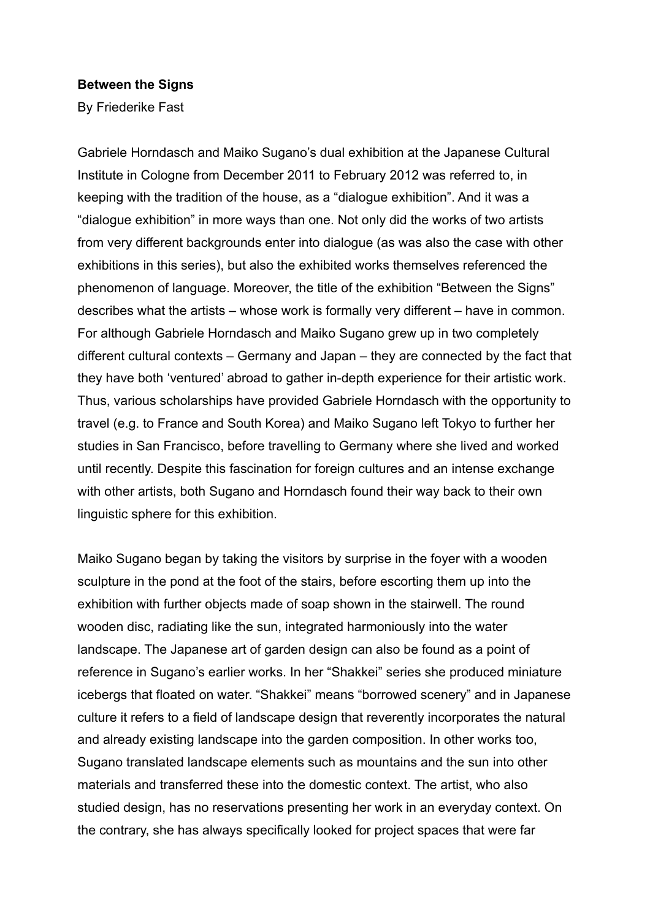## **Between the Signs**

By Friederike Fast

Gabriele Horndasch and Maiko Sugano's dual exhibition at the Japanese Cultural Institute in Cologne from December 2011 to February 2012 was referred to, in keeping with the tradition of the house, as a "dialogue exhibition". And it was a "dialogue exhibition" in more ways than one. Not only did the works of two artists from very different backgrounds enter into dialogue (as was also the case with other exhibitions in this series), but also the exhibited works themselves referenced the phenomenon of language. Moreover, the title of the exhibition "Between the Signs" describes what the artists – whose work is formally very different – have in common. For although Gabriele Horndasch and Maiko Sugano grew up in two completely different cultural contexts – Germany and Japan – they are connected by the fact that they have both 'ventured' abroad to gather in-depth experience for their artistic work. Thus, various scholarships have provided Gabriele Horndasch with the opportunity to travel (e.g. to France and South Korea) and Maiko Sugano left Tokyo to further her studies in San Francisco, before travelling to Germany where she lived and worked until recently. Despite this fascination for foreign cultures and an intense exchange with other artists, both Sugano and Horndasch found their way back to their own linguistic sphere for this exhibition.

Maiko Sugano began by taking the visitors by surprise in the foyer with a wooden sculpture in the pond at the foot of the stairs, before escorting them up into the exhibition with further objects made of soap shown in the stairwell. The round wooden disc, radiating like the sun, integrated harmoniously into the water landscape. The Japanese art of garden design can also be found as a point of reference in Sugano's earlier works. In her "Shakkei" series she produced miniature icebergs that floated on water. "Shakkei" means "borrowed scenery" and in Japanese culture it refers to a field of landscape design that reverently incorporates the natural and already existing landscape into the garden composition. In other works too, Sugano translated landscape elements such as mountains and the sun into other materials and transferred these into the domestic context. The artist, who also studied design, has no reservations presenting her work in an everyday context. On the contrary, she has always specifically looked for project spaces that were far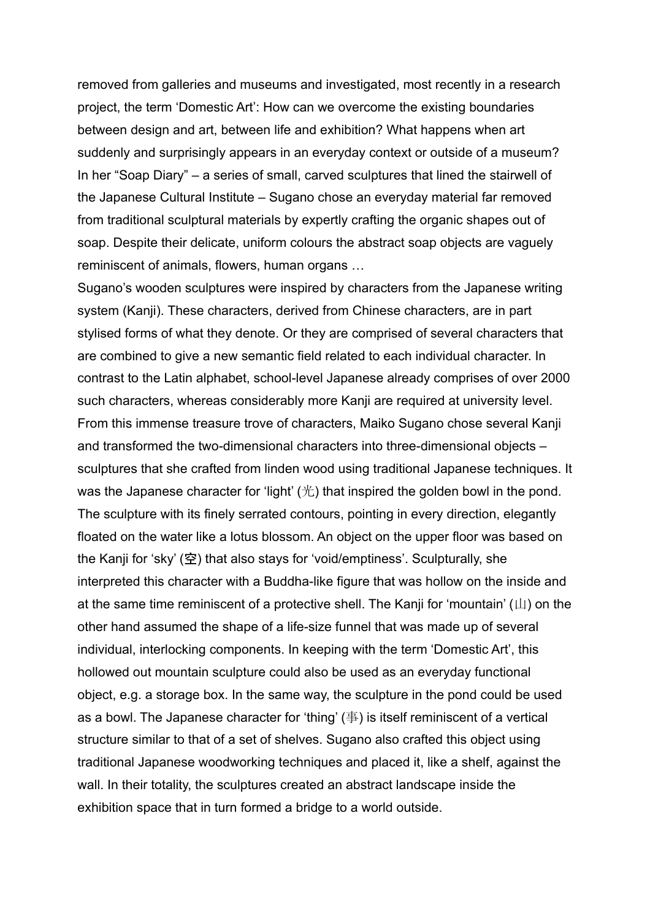removed from galleries and museums and investigated, most recently in a research project, the term 'Domestic Art': How can we overcome the existing boundaries between design and art, between life and exhibition? What happens when art suddenly and surprisingly appears in an everyday context or outside of a museum? In her "Soap Diary" – a series of small, carved sculptures that lined the stairwell of the Japanese Cultural Institute – Sugano chose an everyday material far removed from traditional sculptural materials by expertly crafting the organic shapes out of soap. Despite their delicate, uniform colours the abstract soap objects are vaguely reminiscent of animals, flowers, human organs …

Sugano's wooden sculptures were inspired by characters from the Japanese writing system (Kanji). These characters, derived from Chinese characters, are in part stylised forms of what they denote. Or they are comprised of several characters that are combined to give a new semantic field related to each individual character. In contrast to the Latin alphabet, school-level Japanese already comprises of over 2000 such characters, whereas considerably more Kanii are required at university level. From this immense treasure trove of characters, Maiko Sugano chose several Kanji and transformed the two-dimensional characters into three-dimensional objects – sculptures that she crafted from linden wood using traditional Japanese techniques. It was the Japanese character for 'light'  $(\#)$  that inspired the golden bowl in the pond. The sculpture with its finely serrated contours, pointing in every direction, elegantly floated on the water like a lotus blossom. An object on the upper floor was based on the Kanji for 'sky' (空) that also stays for 'void/emptiness'. Sculpturally, she interpreted this character with a Buddha-like figure that was hollow on the inside and at the same time reminiscent of a protective shell. The Kanji for 'mountain' (山) on the other hand assumed the shape of a life-size funnel that was made up of several individual, interlocking components. In keeping with the term 'Domestic Art', this hollowed out mountain sculpture could also be used as an everyday functional object, e.g. a storage box. In the same way, the sculpture in the pond could be used as a bowl. The Japanese character for 'thing' (事) is itself reminiscent of a vertical structure similar to that of a set of shelves. Sugano also crafted this object using traditional Japanese woodworking techniques and placed it, like a shelf, against the wall. In their totality, the sculptures created an abstract landscape inside the exhibition space that in turn formed a bridge to a world outside.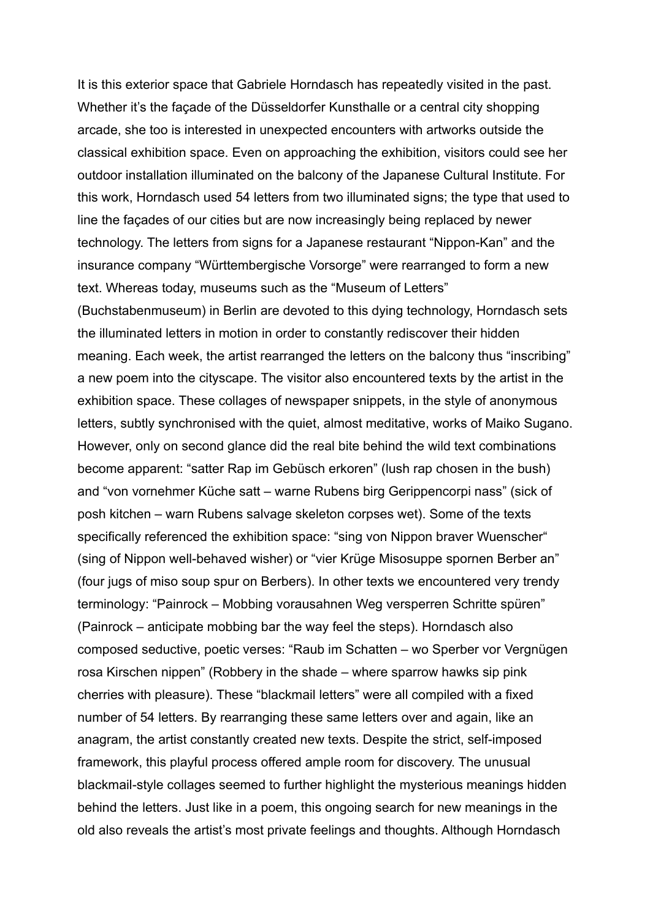It is this exterior space that Gabriele Horndasch has repeatedly visited in the past. Whether it's the façade of the Düsseldorfer Kunsthalle or a central city shopping arcade, she too is interested in unexpected encounters with artworks outside the classical exhibition space. Even on approaching the exhibition, visitors could see her outdoor installation illuminated on the balcony of the Japanese Cultural Institute. For this work, Horndasch used 54 letters from two illuminated signs; the type that used to line the façades of our cities but are now increasingly being replaced by newer technology. The letters from signs for a Japanese restaurant "Nippon-Kan" and the insurance company "Württembergische Vorsorge" were rearranged to form a new text. Whereas today, museums such as the "Museum of Letters" (Buchstabenmuseum) in Berlin are devoted to this dying technology, Horndasch sets the illuminated letters in motion in order to constantly rediscover their hidden meaning. Each week, the artist rearranged the letters on the balcony thus "inscribing" a new poem into the cityscape. The visitor also encountered texts by the artist in the exhibition space. These collages of newspaper snippets, in the style of anonymous letters, subtly synchronised with the quiet, almost meditative, works of Maiko Sugano. However, only on second glance did the real bite behind the wild text combinations become apparent: "satter Rap im Gebüsch erkoren" (lush rap chosen in the bush) and "von vornehmer Küche satt – warne Rubens birg Gerippencorpi nass" (sick of posh kitchen – warn Rubens salvage skeleton corpses wet). Some of the texts specifically referenced the exhibition space: "sing von Nippon braver Wuenscher" (sing of Nippon well-behaved wisher) or "vier Krüge Misosuppe spornen Berber an" (four jugs of miso soup spur on Berbers). In other texts we encountered very trendy terminology: "Painrock – Mobbing vorausahnen Weg versperren Schritte spüren" (Painrock – anticipate mobbing bar the way feel the steps). Horndasch also composed seductive, poetic verses: "Raub im Schatten – wo Sperber vor Vergnügen rosa Kirschen nippen" (Robbery in the shade – where sparrow hawks sip pink cherries with pleasure). These "blackmail letters" were all compiled with a fixed number of 54 letters. By rearranging these same letters over and again, like an anagram, the artist constantly created new texts. Despite the strict, self-imposed framework, this playful process offered ample room for discovery. The unusual blackmail-style collages seemed to further highlight the mysterious meanings hidden behind the letters. Just like in a poem, this ongoing search for new meanings in the old also reveals the artist's most private feelings and thoughts. Although Horndasch